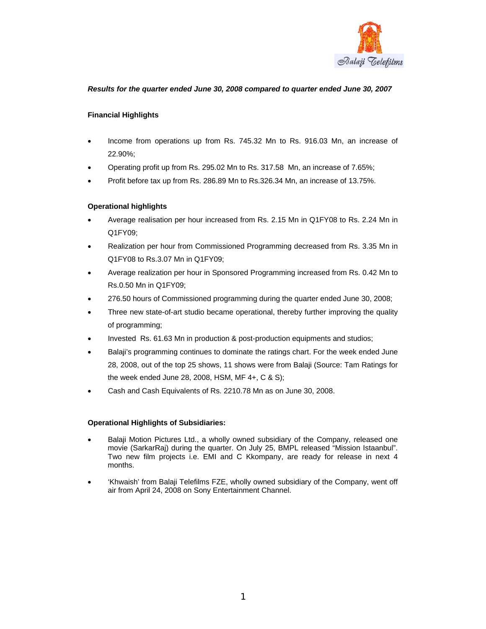

# *Results for the quarter ended June 30, 2008 compared to quarter ended June 30, 2007*

# **Financial Highlights**

- Income from operations up from Rs. 745.32 Mn to Rs. 916.03 Mn, an increase of 22.90%;
- Operating profit up from Rs. 295.02 Mn to Rs. 317.58 Mn, an increase of 7.65%;
- Profit before tax up from Rs. 286.89 Mn to Rs.326.34 Mn, an increase of 13.75%.

# **Operational highlights**

- Average realisation per hour increased from Rs. 2.15 Mn in Q1FY08 to Rs. 2.24 Mn in Q1FY09;
- Realization per hour from Commissioned Programming decreased from Rs. 3.35 Mn in Q1FY08 to Rs.3.07 Mn in Q1FY09;
- Average realization per hour in Sponsored Programming increased from Rs. 0.42 Mn to Rs.0.50 Mn in Q1FY09;
- 276.50 hours of Commissioned programming during the quarter ended June 30, 2008;
- Three new state-of-art studio became operational, thereby further improving the quality of programming;
- Invested Rs. 61.63 Mn in production & post-production equipments and studios;
- Balaji's programming continues to dominate the ratings chart. For the week ended June 28, 2008, out of the top 25 shows, 11 shows were from Balaji (Source: Tam Ratings for the week ended June 28, 2008, HSM, MF 4+, C & S);
- Cash and Cash Equivalents of Rs. 2210.78 Mn as on June 30, 2008.

## **Operational Highlights of Subsidiaries:**

- Balaji Motion Pictures Ltd., a wholly owned subsidiary of the Company, released one movie (SarkarRaj) during the quarter. On July 25, BMPL released "Mission Istaanbul". Two new film projects i.e. EMI and C Kkompany, are ready for release in next 4 months.
- 'Khwaish' from Balaji Telefilms FZE, wholly owned subsidiary of the Company, went off air from April 24, 2008 on Sony Entertainment Channel.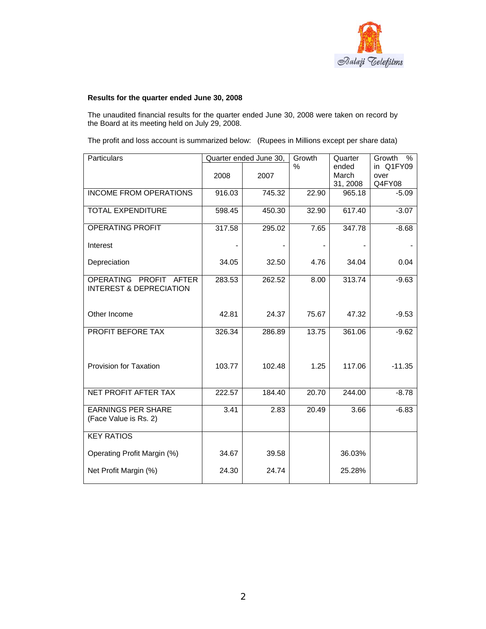

# **Results for the quarter ended June 30, 2008**

The unaudited financial results for the quarter ended June 30, 2008 were taken on record by the Board at its meeting held on July 29, 2008.

The profit and loss account is summarized below: (Rupees in Millions except per share data)

| Particulars                                                  | Quarter ended June 30, |        | Growth | Quarter                    | Growth<br>$\%$              |
|--------------------------------------------------------------|------------------------|--------|--------|----------------------------|-----------------------------|
|                                                              | 2008                   | 2007   | $\%$   | ended<br>March<br>31, 2008 | in Q1FY09<br>over<br>Q4FY08 |
| <b>INCOME FROM OPERATIONS</b>                                | 916.03                 | 745.32 | 22.90  | 965.18                     | $-5.09$                     |
| <b>TOTAL EXPENDITURE</b>                                     | 598.45                 | 450.30 | 32.90  | 617.40                     | $-3.07$                     |
| <b>OPERATING PROFIT</b>                                      | 317.58                 | 295.02 | 7.65   | 347.78                     | $-8.68$                     |
| Interest                                                     |                        |        |        |                            |                             |
| Depreciation                                                 | 34.05                  | 32.50  | 4.76   | 34.04                      | 0.04                        |
| OPERATING PROFIT AFTER<br><b>INTEREST &amp; DEPRECIATION</b> | 283.53                 | 262.52 | 8.00   | 313.74                     | $-9.63$                     |
| Other Income                                                 | 42.81                  | 24.37  | 75.67  | 47.32                      | $-9.53$                     |
| PROFIT BEFORE TAX                                            | 326.34                 | 286.89 | 13.75  | 361.06                     | $-9.62$                     |
| Provision for Taxation                                       | 103.77                 | 102.48 | 1.25   | 117.06                     | $-11.35$                    |
| NET PROFIT AFTER TAX                                         | 222.57                 | 184.40 | 20.70  | 244.00                     | $-8.78$                     |
| <b>EARNINGS PER SHARE</b><br>(Face Value is Rs. 2)           | 3.41                   | 2.83   | 20.49  | 3.66                       | $-6.83$                     |
| <b>KEY RATIOS</b>                                            |                        |        |        |                            |                             |
| Operating Profit Margin (%)                                  | 34.67                  | 39.58  |        | 36.03%                     |                             |
| Net Profit Margin (%)                                        | 24.30                  | 24.74  |        | 25.28%                     |                             |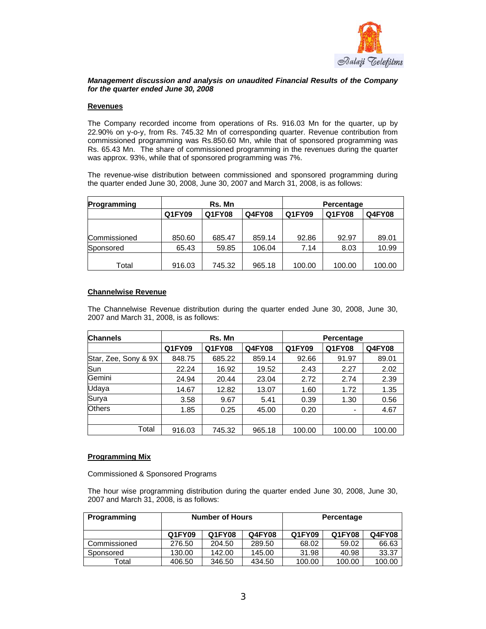

## *Management discussion and analysis on unaudited Financial Results of the Company for the quarter ended June 30, 2008*

### **Revenues**

The Company recorded income from operations of Rs. 916.03 Mn for the quarter, up by 22.90% on y-o-y, from Rs. 745.32 Mn of corresponding quarter. Revenue contribution from commissioned programming was Rs.850.60 Mn, while that of sponsored programming was Rs. 65.43 Mn. The share of commissioned programming in the revenues during the quarter was approx. 93%, while that of sponsored programming was 7%.

The revenue-wise distribution between commissioned and sponsored programming during the quarter ended June 30, 2008, June 30, 2007 and March 31, 2008, is as follows:

| Rs. Mn                            |        |        | Percentage |               |        |
|-----------------------------------|--------|--------|------------|---------------|--------|
| Q1FY09<br>Q1FY08<br><b>Q4FY08</b> |        | Q1FY09 | Q1FY08     | <b>Q4FY08</b> |        |
|                                   |        |        |            |               |        |
| 850.60                            | 685.47 | 859.14 | 92.86      | 92.97         | 89.01  |
| 65.43                             | 59.85  | 106.04 | 7.14       | 8.03          | 10.99  |
|                                   |        |        |            |               | 100.00 |
|                                   | 916.03 | 745.32 | 965.18     | 100.00        | 100.00 |

### **Channelwise Revenue**

The Channelwise Revenue distribution during the quarter ended June 30, 2008, June 30, 2007 and March 31, 2008, is as follows:

| <b>Channels</b>      | Rs. Mn |        |               | Percentage |               |               |
|----------------------|--------|--------|---------------|------------|---------------|---------------|
|                      | Q1FY09 | Q1FY08 | <b>Q4FY08</b> | Q1FY09     | <b>Q1FY08</b> | <b>Q4FY08</b> |
| Star, Zee, Sony & 9X | 848.75 | 685.22 | 859.14        | 92.66      | 91.97         | 89.01         |
| Sun                  | 22.24  | 16.92  | 19.52         | 2.43       | 2.27          | 2.02          |
| Gemini               | 24.94  | 20.44  | 23.04         | 2.72       | 2.74          | 2.39          |
| Udaya                | 14.67  | 12.82  | 13.07         | 1.60       | 1.72          | 1.35          |
| Surya                | 3.58   | 9.67   | 5.41          | 0.39       | 1.30          | 0.56          |
| <b>Others</b>        | 1.85   | 0.25   | 45.00         | 0.20       | $\,$          | 4.67          |
|                      |        |        |               |            |               |               |
| Total                | 916.03 | 745.32 | 965.18        | 100.00     | 100.00        | 100.00        |

## **Programming Mix**

Commissioned & Sponsored Programs

The hour wise programming distribution during the quarter ended June 30, 2008, June 30, 2007 and March 31, 2008, is as follows:

| Programming  | <b>Number of Hours</b> |        |        | Percentage |        |        |
|--------------|------------------------|--------|--------|------------|--------|--------|
|              | Q1FY09                 | Q1FY08 | Q4FY08 | Q1FY09     | Q1FY08 | Q4FY08 |
| Commissioned | 276.50                 | 204.50 | 289.50 | 68.02      | 59.02  | 66.63  |
| Sponsored    | 130.00                 | 142.00 | 145.00 | 31.98      | 40.98  | 33.37  |
| Total        | 406.50                 | 346.50 | 434.50 | 100.00     | 100.00 | 100.00 |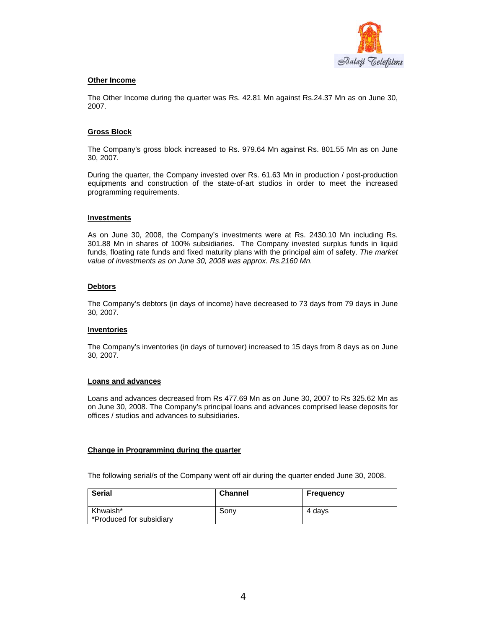

### **Other Income**

The Other Income during the quarter was Rs. 42.81 Mn against Rs.24.37 Mn as on June 30, 2007.

### **Gross Block**

The Company's gross block increased to Rs. 979.64 Mn against Rs. 801.55 Mn as on June 30, 2007.

During the quarter, the Company invested over Rs. 61.63 Mn in production / post-production equipments and construction of the state-of-art studios in order to meet the increased programming requirements.

#### **Investments**

As on June 30, 2008, the Company's investments were at Rs. 2430.10 Mn including Rs. 301.88 Mn in shares of 100% subsidiaries. The Company invested surplus funds in liquid funds, floating rate funds and fixed maturity plans with the principal aim of safety. *The market value of investments as on June 30, 2008 was approx. Rs.2160 Mn.*

### **Debtors**

The Company's debtors (in days of income) have decreased to 73 days from 79 days in June 30, 2007.

#### **Inventories**

The Company's inventories (in days of turnover) increased to 15 days from 8 days as on June 30, 2007.

#### **Loans and advances**

Loans and advances decreased from Rs 477.69 Mn as on June 30, 2007 to Rs 325.62 Mn as on June 30, 2008. The Company's principal loans and advances comprised lease deposits for offices / studios and advances to subsidiaries.

## **Change in Programming during the quarter**

The following serial/s of the Company went off air during the quarter ended June 30, 2008.

| <b>Serial</b>            | <b>Channel</b> | Frequency |
|--------------------------|----------------|-----------|
| Khwaish*                 | Sonv           | 4 davs    |
| *Produced for subsidiary |                |           |